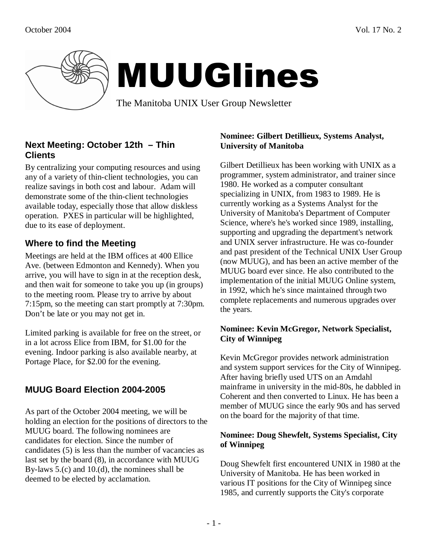

# MUUGlines

The Manitoba UNIX User Group Newsletter

# **Next Meeting: October 12th – Thin Clients**

By centralizing your computing resources and using any of a variety of thin-client technologies, you can realize savings in both cost and labour. Adam will demonstrate some of the thin-client technologies available today, especially those that allow diskless operation. PXES in particular will be highlighted, due to its ease of deployment.

# **Where to find the Meeting**

Meetings are held at the IBM offices at 400 Ellice Ave. (between Edmonton and Kennedy). When you arrive, you will have to sign in at the reception desk, and then wait for someone to take you up (in groups) to the meeting room. Please try to arrive by about 7:15pm, so the meeting can start promptly at 7:30pm. Don't be late or you may not get in.

Limited parking is available for free on the street, or in a lot across Elice from IBM, for \$1.00 for the evening. Indoor parking is also available nearby, at Portage Place, for \$2.00 for the evening.

# **MUUG Board Election 2004-2005**

As part of the October 2004 meeting, we will be holding an election for the positions of directors to the MUUG board. The following nominees are candidates for election. Since the number of candidates (5) is less than the number of vacancies as last set by the board (8), in accordance with MUUG By-laws 5.(c) and 10.(d), the nominees shall be deemed to be elected by acclamation.

## **Nominee: Gilbert Detillieux, Systems Analyst, University of Manitoba**

Gilbert Detillieux has been working with UNIX as a programmer, system administrator, and trainer since 1980. He worked as a computer consultant specializing in UNIX, from 1983 to 1989. He is currently working as a Systems Analyst for the University of Manitoba's Department of Computer Science, where's he's worked since 1989, installing, supporting and upgrading the department's network and UNIX server infrastructure. He was co-founder and past president of the Technical UNIX User Group (now MUUG), and has been an active member of the MUUG board ever since. He also contributed to the implementation of the initial MUUG Online system, in 1992, which he's since maintained through two complete replacements and numerous upgrades over the years.

## **Nominee: Kevin McGregor, Network Specialist, City of Winnipeg**

Kevin McGregor provides network administration and system support services for the City of Winnipeg. After having briefly used UTS on an Amdahl mainframe in university in the mid-80s, he dabbled in Coherent and then converted to Linux. He has been a member of MUUG since the early 90s and has served on the board for the majority of that time.

### **Nominee: Doug Shewfelt, Systems Specialist, City of Winnipeg**

Doug Shewfelt first encountered UNIX in 1980 at the University of Manitoba. He has been worked in various IT positions for the City of Winnipeg since 1985, and currently supports the City's corporate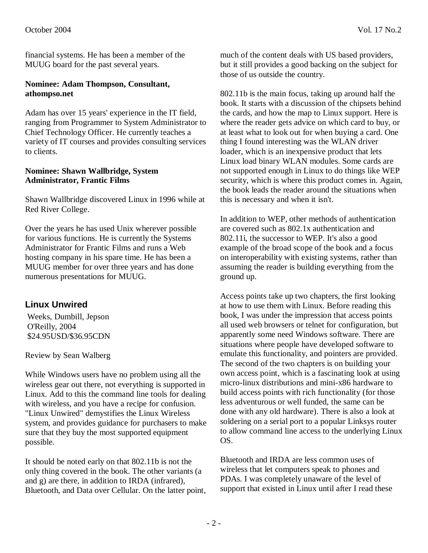financial systems. He has been a member of the MUUG board for the past several years.

#### **Nominee: Adam Thompson, Consultant, athompso.net**

Adam has over 15 years' experience in the IT field, ranging from Programmer to System Administrator to Chief Technology Officer. He currently teaches a variety of IT courses and provides consulting services to clients.

#### **Nominee: Shawn Wallbridge, System Administrator, Frantic Films**

Shawn Wallbridge discovered Linux in 1996 while at Red River College.

Over the years he has used Unix wherever possible for various functions. He is currently the Systems Administrator for Frantic Films and runs a Web hosting company in his spare time. He has been a MUUG member for over three years and has done numerous presentations for MUUG.

# **Linux Unwired**

 Weeks, Dumbill, Jepson O'Reilly, 2004 \$24.95USD/\$36.95CDN

Review by Sean Walberg

While Windows users have no problem using all the wireless gear out there, not everything is supported in Linux. Add to this the command line tools for dealing with wireless, and you have a recipe for confusion. "Linux Unwired" demystifies the Linux Wireless system, and provides guidance for purchasers to make sure that they buy the most supported equipment possible.

It should be noted early on that 802.11b is not the only thing covered in the book. The other variants (a and g) are there, in addition to IRDA (infrared), Bluetooth, and Data over Cellular. On the latter point, much of the content deals with US based providers, but it still provides a good backing on the subject for those of us outside the country.

802.11b is the main focus, taking up around half the book. It starts with a discussion of the chipsets behind the cards, and how the map to Linux support. Here is where the reader gets advice on which card to buy, or at least what to look out for when buying a card. One thing I found interesting was the WLAN driver loader, which is an inexpensive product that lets Linux load binary WLAN modules. Some cards are not supported enough in Linux to do things like WEP security, which is where this product comes in. Again, the book leads the reader around the situations when this is necessary and when it isn't.

In addition to WEP, other methods of authentication are covered such as 802.1x authentication and 802.11i, the successor to WEP. It's also a good example of the broad scope of the book and a focus on interoperability with existing systems, rather than assuming the reader is building everything from the ground up.

Access points take up two chapters, the first looking at how to use them with Linux. Before reading this book, I was under the impression that access points all used web browsers or telnet for configuration, but apparently some need Windows software. There are situations where people have developed software to emulate this functionality, and pointers are provided. The second of the two chapters is on building your own access point, which is a fascinating look at using micro-linux distributions and mini-x86 hardware to build access points with rich functionality (for those less adventurous or well funded, the same can be done with any old hardware). There is also a look at soldering on a serial port to a popular Linksys router to allow command line access to the underlying Linux OS.

Bluetooth and IRDA are less common uses of wireless that let computers speak to phones and PDAs. I was completely unaware of the level of support that existed in Linux until after I read these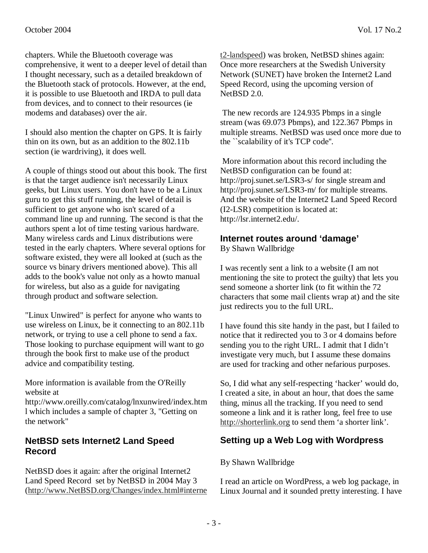chapters. While the Bluetooth coverage was comprehensive, it went to a deeper level of detail than I thought necessary, such as a detailed breakdown of the Bluetooth stack of protocols. However, at the end, it is possible to use Bluetooth and IRDA to pull data from devices, and to connect to their resources (ie

modems and databases) over the air.

I should also mention the chapter on GPS. It is fairly thin on its own, but as an addition to the 802.11b section (ie wardriving), it does well.

A couple of things stood out about this book. The first is that the target audience isn't necessarily Linux geeks, but Linux users. You don't have to be a Linux guru to get this stuff running, the level of detail is sufficient to get anyone who isn't scared of a command line up and running. The second is that the authors spent a lot of time testing various hardware. Many wireless cards and Linux distributions were tested in the early chapters. Where several options for software existed, they were all looked at (such as the source vs binary drivers mentioned above). This all adds to the book's value not only as a howto manual for wireless, but also as a guide for navigating through product and software selection.

"Linux Unwired" is perfect for anyone who wants to use wireless on Linux, be it connecting to an 802.11b network, or trying to use a cell phone to send a fax. Those looking to purchase equipment will want to go through the book first to make use of the product advice and compatibility testing.

More information is available from the O'Reilly website at

http://www.oreilly.com/catalog/lnxunwired/index.htm l which includes a sample of chapter 3, "Getting on the network"

## **NetBSD sets Internet2 Land Speed Record**

NetBSD does it again: after the original Internet2 Land Speed Record set by NetBSD in 2004 May 3 (http://www.NetBSD.org/Changes/index.html#interne t2-landspeed) was broken, NetBSD shines again: Once more researchers at the Swedish University Network (SUNET) have broken the Internet2 Land Speed Record, using the upcoming version of NetBSD 2.0.

 The new records are 124.935 Pbmps in a single stream (was 69.073 Pbmps), and 122.367 Pbmps in multiple streams. NetBSD was used once more due to the ``scalability of it's TCP code''.

 More information about this record including the NetBSD configuration can be found at: http://proj.sunet.se/LSR3-s/ for single stream and http://proj.sunet.se/LSR3-m/ for multiple streams. And the website of the Internet2 Land Speed Record (I2-LSR) competition is located at: http://lsr.internet2.edu/.

### **Internet routes around 'damage'**

By Shawn Wallbridge

I was recently sent a link to a website (I am not mentioning the site to protect the guilty) that lets you send someone a shorter link (to fit within the 72 characters that some mail clients wrap at) and the site just redirects you to the full URL.

I have found this site handy in the past, but I failed to notice that it redirected you to 3 or 4 domains before sending you to the right URL. I admit that I didn't investigate very much, but I assume these domains are used for tracking and other nefarious purposes.

So, I did what any self-respecting 'hacker' would do, I created a site, in about an hour, that does the same thing, minus all the tracking. If you need to send someone a link and it is rather long, feel free to use http://shorterlink.org to send them 'a shorter link'.

## **Setting up a Web Log with Wordpress**

#### By Shawn Wallbridge

I read an article on WordPress, a web log package, in Linux Journal and it sounded pretty interesting. I have